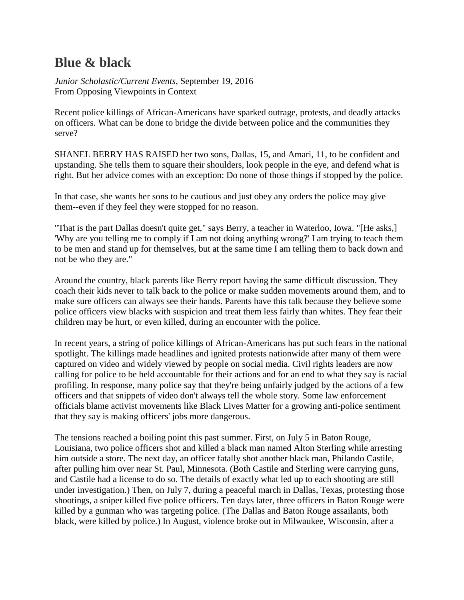# **Blue & black**

*Junior Scholastic/Current Events*, September 19, 2016 From Opposing Viewpoints in Context

Recent police killings of African-Americans have sparked outrage, protests, and deadly attacks on officers. What can be done to bridge the divide between police and the communities they serve?

SHANEL BERRY HAS RAISED her two sons, Dallas, 15, and Amari, 11, to be confident and upstanding. She tells them to square their shoulders, look people in the eye, and defend what is right. But her advice comes with an exception: Do none of those things if stopped by the police.

In that case, she wants her sons to be cautious and just obey any orders the police may give them--even if they feel they were stopped for no reason.

"That is the part Dallas doesn't quite get," says Berry, a teacher in Waterloo, Iowa. "[He asks,] 'Why are you telling me to comply if I am not doing anything wrong?' I am trying to teach them to be men and stand up for themselves, but at the same time I am telling them to back down and not be who they are."

Around the country, black parents like Berry report having the same difficult discussion. They coach their kids never to talk back to the police or make sudden movements around them, and to make sure officers can always see their hands. Parents have this talk because they believe some police officers view blacks with suspicion and treat them less fairly than whites. They fear their children may be hurt, or even killed, during an encounter with the police.

In recent years, a string of police killings of African-Americans has put such fears in the national spotlight. The killings made headlines and ignited protests nationwide after many of them were captured on video and widely viewed by people on social media. Civil rights leaders are now calling for police to be held accountable for their actions and for an end to what they say is racial profiling. In response, many police say that they're being unfairly judged by the actions of a few officers and that snippets of video don't always tell the whole story. Some law enforcement officials blame activist movements like Black Lives Matter for a growing anti-police sentiment that they say is making officers' jobs more dangerous.

The tensions reached a boiling point this past summer. First, on July 5 in Baton Rouge, Louisiana, two police officers shot and killed a black man named Alton Sterling while arresting him outside a store. The next day, an officer fatally shot another black man, Philando Castile, after pulling him over near St. Paul, Minnesota. (Both Castile and Sterling were carrying guns, and Castile had a license to do so. The details of exactly what led up to each shooting are still under investigation.) Then, on July 7, during a peaceful march in Dallas, Texas, protesting those shootings, a sniper killed five police officers. Ten days later, three officers in Baton Rouge were killed by a gunman who was targeting police. (The Dallas and Baton Rouge assailants, both black, were killed by police.) In August, violence broke out in Milwaukee, Wisconsin, after a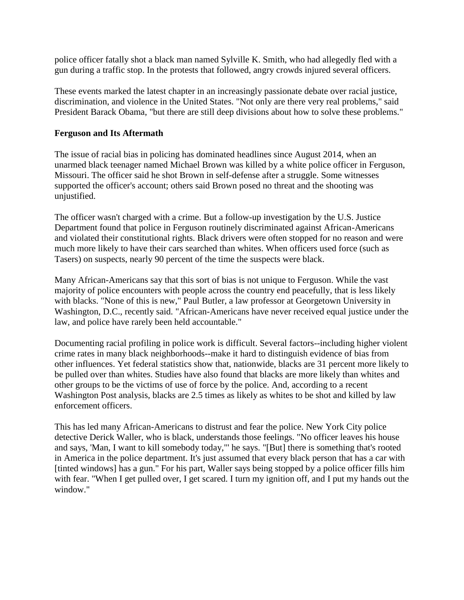police officer fatally shot a black man named Sylville K. Smith, who had allegedly fled with a gun during a traffic stop. In the protests that followed, angry crowds injured several officers.

These events marked the latest chapter in an increasingly passionate debate over racial justice, discrimination, and violence in the United States. "Not only are there very real problems," said President Barack Obama, "but there are still deep divisions about how to solve these problems."

# **Ferguson and Its Aftermath**

The issue of racial bias in policing has dominated headlines since August 2014, when an unarmed black teenager named Michael Brown was killed by a white police officer in Ferguson, Missouri. The officer said he shot Brown in self-defense after a struggle. Some witnesses supported the officer's account; others said Brown posed no threat and the shooting was unjustified.

The officer wasn't charged with a crime. But a follow-up investigation by the U.S. Justice Department found that police in Ferguson routinely discriminated against African-Americans and violated their constitutional rights. Black drivers were often stopped for no reason and were much more likely to have their cars searched than whites. When officers used force (such as Tasers) on suspects, nearly 90 percent of the time the suspects were black.

Many African-Americans say that this sort of bias is not unique to Ferguson. While the vast majority of police encounters with people across the country end peacefully, that is less likely with blacks. "None of this is new," Paul Butler, a law professor at Georgetown University in Washington, D.C., recently said. "African-Americans have never received equal justice under the law, and police have rarely been held accountable."

Documenting racial profiling in police work is difficult. Several factors--including higher violent crime rates in many black neighborhoods--make it hard to distinguish evidence of bias from other influences. Yet federal statistics show that, nationwide, blacks are 31 percent more likely to be pulled over than whites. Studies have also found that blacks are more likely than whites and other groups to be the victims of use of force by the police. And, according to a recent Washington Post analysis, blacks are 2.5 times as likely as whites to be shot and killed by law enforcement officers.

This has led many African-Americans to distrust and fear the police. New York City police detective Derick Waller, who is black, understands those feelings. "No officer leaves his house and says, 'Man, I want to kill somebody today,"' he says. "[But] there is something that's rooted in America in the police department. It's just assumed that every black person that has a car with [tinted windows] has a gun." For his part, Waller says being stopped by a police officer fills him with fear. "When I get pulled over, I get scared. I turn my ignition off, and I put my hands out the window."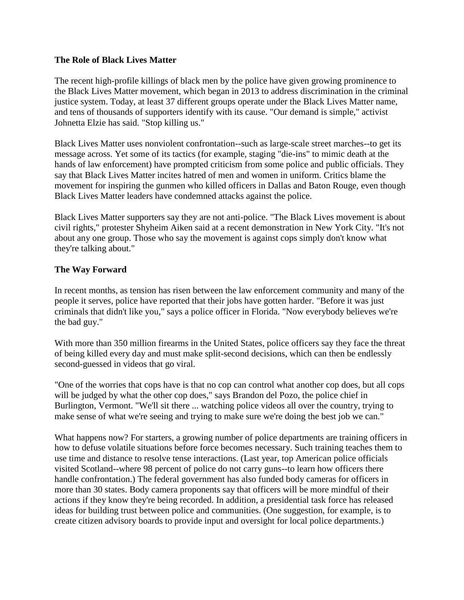# **The Role of Black Lives Matter**

The recent high-profile killings of black men by the police have given growing prominence to the Black Lives Matter movement, which began in 2013 to address discrimination in the criminal justice system. Today, at least 37 different groups operate under the Black Lives Matter name, and tens of thousands of supporters identify with its cause. "Our demand is simple," activist Johnetta Elzie has said. "Stop killing us."

Black Lives Matter uses nonviolent confrontation--such as large-scale street marches--to get its message across. Yet some of its tactics (for example, staging "die-ins" to mimic death at the hands of law enforcement) have prompted criticism from some police and public officials. They say that Black Lives Matter incites hatred of men and women in uniform. Critics blame the movement for inspiring the gunmen who killed officers in Dallas and Baton Rouge, even though Black Lives Matter leaders have condemned attacks against the police.

Black Lives Matter supporters say they are not anti-police. "The Black Lives movement is about civil rights," protester Shyheim Aiken said at a recent demonstration in New York City. "It's not about any one group. Those who say the movement is against cops simply don't know what they're talking about."

# **The Way Forward**

In recent months, as tension has risen between the law enforcement community and many of the people it serves, police have reported that their jobs have gotten harder. "Before it was just criminals that didn't like you," says a police officer in Florida. "Now everybody believes we're the bad guy."

With more than 350 million firearms in the United States, police officers say they face the threat of being killed every day and must make split-second decisions, which can then be endlessly second-guessed in videos that go viral.

"One of the worries that cops have is that no cop can control what another cop does, but all cops will be judged by what the other cop does," says Brandon del Pozo, the police chief in Burlington, Vermont. "We'll sit there ... watching police videos all over the country, trying to make sense of what we're seeing and trying to make sure we're doing the best job we can."

What happens now? For starters, a growing number of police departments are training officers in how to defuse volatile situations before force becomes necessary. Such training teaches them to use time and distance to resolve tense interactions. (Last year, top American police officials visited Scotland--where 98 percent of police do not carry guns--to learn how officers there handle confrontation.) The federal government has also funded body cameras for officers in more than 30 states. Body camera proponents say that officers will be more mindful of their actions if they know they're being recorded. In addition, a presidential task force has released ideas for building trust between police and communities. (One suggestion, for example, is to create citizen advisory boards to provide input and oversight for local police departments.)